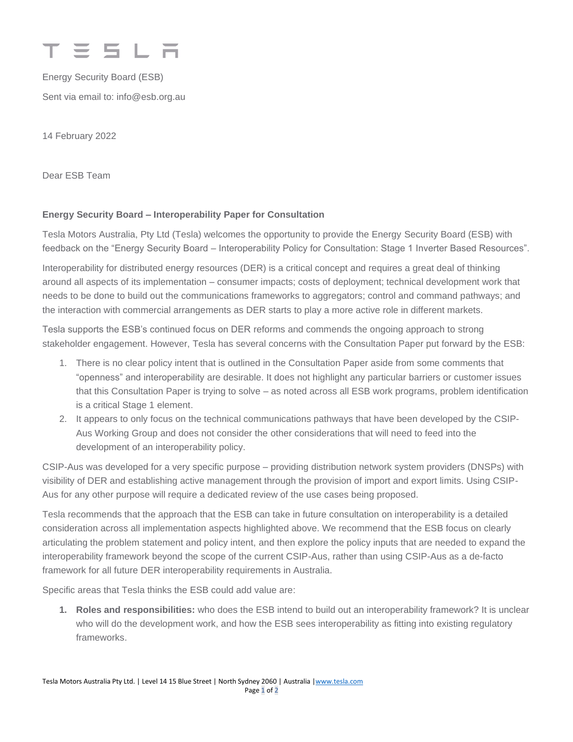

Energy Security Board (ESB) Sent via email to: info@esb.org.au

14 February 2022

Dear ESB Team

## **Energy Security Board – Interoperability Paper for Consultation**

Tesla Motors Australia, Pty Ltd (Tesla) welcomes the opportunity to provide the Energy Security Board (ESB) with feedback on the "Energy Security Board – Interoperability Policy for Consultation: Stage 1 Inverter Based Resources".

Interoperability for distributed energy resources (DER) is a critical concept and requires a great deal of thinking around all aspects of its implementation – consumer impacts; costs of deployment; technical development work that needs to be done to build out the communications frameworks to aggregators; control and command pathways; and the interaction with commercial arrangements as DER starts to play a more active role in different markets.

Tesla supports the ESB's continued focus on DER reforms and commends the ongoing approach to strong stakeholder engagement. However, Tesla has several concerns with the Consultation Paper put forward by the ESB:

- 1. There is no clear policy intent that is outlined in the Consultation Paper aside from some comments that "openness" and interoperability are desirable. It does not highlight any particular barriers or customer issues that this Consultation Paper is trying to solve – as noted across all ESB work programs, problem identification is a critical Stage 1 element.
- 2. It appears to only focus on the technical communications pathways that have been developed by the CSIP-Aus Working Group and does not consider the other considerations that will need to feed into the development of an interoperability policy.

CSIP-Aus was developed for a very specific purpose – providing distribution network system providers (DNSPs) with visibility of DER and establishing active management through the provision of import and export limits. Using CSIP-Aus for any other purpose will require a dedicated review of the use cases being proposed.

Tesla recommends that the approach that the ESB can take in future consultation on interoperability is a detailed consideration across all implementation aspects highlighted above. We recommend that the ESB focus on clearly articulating the problem statement and policy intent, and then explore the policy inputs that are needed to expand the interoperability framework beyond the scope of the current CSIP-Aus, rather than using CSIP-Aus as a de-facto framework for all future DER interoperability requirements in Australia.

Specific areas that Tesla thinks the ESB could add value are:

**1. Roles and responsibilities:** who does the ESB intend to build out an interoperability framework? It is unclear who will do the development work, and how the ESB sees interoperability as fitting into existing regulatory frameworks.